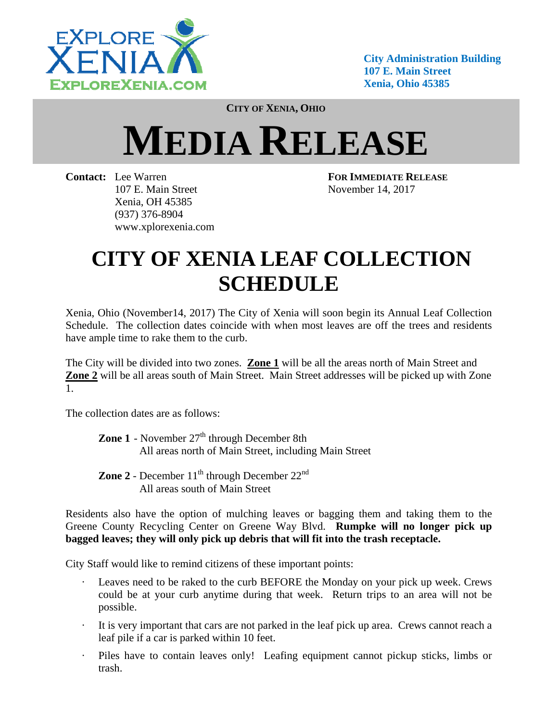

**City Administration Building 107 E. Main Street Xenia, Ohio 45385** 

**CITY OF XENIA, OHIO**

# **MEDIA RELEASE**

**Contact:** Lee Warren **FOR IMMEDIATE RELEASE** 107 E. Main Street November 14, 2017 Xenia, OH 45385 (937) 376-8904 www.xplorexenia.com

# **CITY OF XENIA LEAF COLLECTION SCHEDULE**

Xenia, Ohio (November14, 2017) The City of Xenia will soon begin its Annual Leaf Collection Schedule. The collection dates coincide with when most leaves are off the trees and residents have ample time to rake them to the curb.

The City will be divided into two zones. **Zone 1** will be all the areas north of Main Street and **Zone 2** will be all areas south of Main Street. Main Street addresses will be picked up with Zone 1.

The collection dates are as follows:

**Zone 1** - November 27<sup>th</sup> through December 8th All areas north of Main Street, including Main Street

**Zone 2** - December  $11<sup>th</sup>$  through December  $22<sup>nd</sup>$ All areas south of Main Street

Residents also have the option of mulching leaves or bagging them and taking them to the Greene County Recycling Center on Greene Way Blvd. **Rumpke will no longer pick up bagged leaves; they will only pick up debris that will fit into the trash receptacle.**

City Staff would like to remind citizens of these important points:

- Leaves need to be raked to the curb BEFORE the Monday on your pick up week. Crews could be at your curb anytime during that week. Return trips to an area will not be possible.
- It is very important that cars are not parked in the leaf pick up area. Crews cannot reach a leaf pile if a car is parked within 10 feet.
- Piles have to contain leaves only! Leafing equipment cannot pickup sticks, limbs or trash.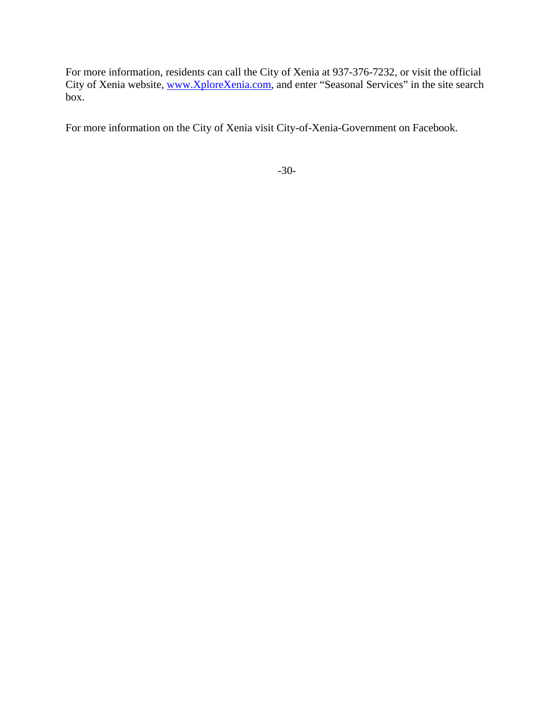For more information, residents can call the City of Xenia at 937-376-7232, or visit the official City of Xenia website, www.XploreXenia.com, and enter "Seasonal Services" in the site search box.

For more information on the City of Xenia visit City-of-Xenia-Government on Facebook.

-30-